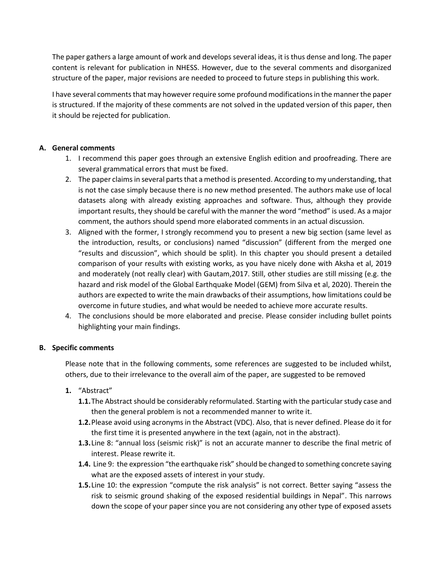The paper gathers a large amount of work and develops several ideas, it is thus dense and long. The paper content is relevant for publication in NHESS. However, due to the several comments and disorganized structure of the paper, major revisions are needed to proceed to future steps in publishing this work.

I have several comments that may however require some profound modifications in the manner the paper is structured. If the majority of these comments are not solved in the updated version of this paper, then it should be rejected for publication.

#### **A. General comments**

- 1. I recommend this paper goes through an extensive English edition and proofreading. There are several grammatical errors that must be fixed.
- 2. The paper claims in several parts that a method is presented. According to my understanding, that is not the case simply because there is no new method presented. The authors make use of local datasets along with already existing approaches and software. Thus, although they provide important results, they should be careful with the manner the word "method" is used. As a major comment, the authors should spend more elaborated comments in an actual discussion.
- 3. Aligned with the former, I strongly recommend you to present a new big section (same level as the introduction, results, or conclusions) named "discussion" (different from the merged one "results and discussion", which should be split). In this chapter you should present a detailed comparison of your results with existing works, as you have nicely done with Aksha et al, 2019 and moderately (not really clear) with Gautam,2017. Still, other studies are still missing (e.g. the hazard and risk model of the Global Earthquake Model (GEM) from Silva et al, 2020). Therein the authors are expected to write the main drawbacks of their assumptions, how limitations could be overcome in future studies, and what would be needed to achieve more accurate results.
- 4. The conclusions should be more elaborated and precise. Please consider including bullet points highlighting your main findings.

# **B. Specific comments**

Please note that in the following comments, some references are suggested to be included whilst, others, due to their irrelevance to the overall aim of the paper, are suggested to be removed

# **1.** "Abstract"

- **1.1.**The Abstract should be considerably reformulated. Starting with the particular study case and then the general problem is not a recommended manner to write it.
- **1.2.**Please avoid using acronyms in the Abstract (VDC). Also, that is never defined. Please do it for the first time it is presented anywhere in the text (again, not in the abstract).
- **1.3.**Line 8: "annual loss (seismic risk)" is not an accurate manner to describe the final metric of interest. Please rewrite it.
- **1.4.** Line 9: the expression "the earthquake risk" should be changed to something concrete saying what are the exposed assets of interest in your study.
- **1.5.**Line 10: the expression "compute the risk analysis" is not correct. Better saying "assess the risk to seismic ground shaking of the exposed residential buildings in Nepal". This narrows down the scope of your paper since you are not considering any other type of exposed assets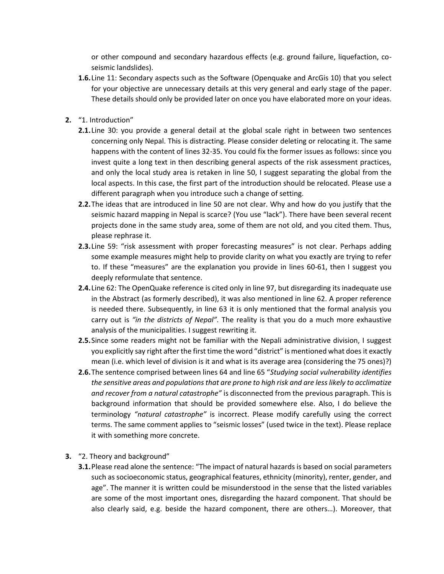or other compound and secondary hazardous effects (e.g. ground failure, liquefaction, coseismic landslides).

- **1.6.**Line 11: Secondary aspects such as the Software (Openquake and ArcGis 10) that you select for your objective are unnecessary details at this very general and early stage of the paper. These details should only be provided later on once you have elaborated more on your ideas.
- **2.** "1. Introduction"
	- **2.1.**Line 30: you provide a general detail at the global scale right in between two sentences concerning only Nepal. This is distracting. Please consider deleting or relocating it. The same happens with the content of lines 32-35. You could fix the former issues as follows: since you invest quite a long text in then describing general aspects of the risk assessment practices, and only the local study area is retaken in line 50, I suggest separating the global from the local aspects. In this case, the first part of the introduction should be relocated. Please use a different paragraph when you introduce such a change of setting.
	- **2.2.**The ideas that are introduced in line 50 are not clear. Why and how do you justify that the seismic hazard mapping in Nepal is scarce? (You use "lack"). There have been several recent projects done in the same study area, some of them are not old, and you cited them. Thus, please rephrase it.
	- **2.3.**Line 59: "risk assessment with proper forecasting measures" is not clear. Perhaps adding some example measures might help to provide clarity on what you exactly are trying to refer to. If these "measures" are the explanation you provide in lines 60-61, then I suggest you deeply reformulate that sentence.
	- **2.4.**Line 62: The OpenQuake reference is cited only in line 97, but disregarding its inadequate use in the Abstract (as formerly described), it was also mentioned in line 62. A proper reference is needed there. Subsequently, in line 63 it is only mentioned that the formal analysis you carry out is *"in the districts of Nepal".* The reality is that you do a much more exhaustive analysis of the municipalities. I suggest rewriting it.
	- **2.5.**Since some readers might not be familiar with the Nepali administrative division, I suggest you explicitly say right after the first time the word "district" is mentioned what does it exactly mean (i.e. which level of division is it and what is its average area (considering the 75 ones)?)
	- **2.6.**The sentence comprised between lines 64 and line 65 "*Studying social vulnerability identifies the sensitive areas and populations that are prone to high risk and are less likely to acclimatize and recover from a natural catastrophe"* is disconnected from the previous paragraph. This is background information that should be provided somewhere else. Also, I do believe the terminology *"natural catastrophe"* is incorrect. Please modify carefully using the correct terms. The same comment applies to "seismic losses" (used twice in the text). Please replace it with something more concrete.
- **3.** "2. Theory and background"
	- **3.1.**Please read alone the sentence: "The impact of natural hazards is based on social parameters such as socioeconomic status, geographical features, ethnicity (minority), renter, gender, and age". The manner it is written could be misunderstood in the sense that the listed variables are some of the most important ones, disregarding the hazard component. That should be also clearly said, e.g. beside the hazard component, there are others…). Moreover, that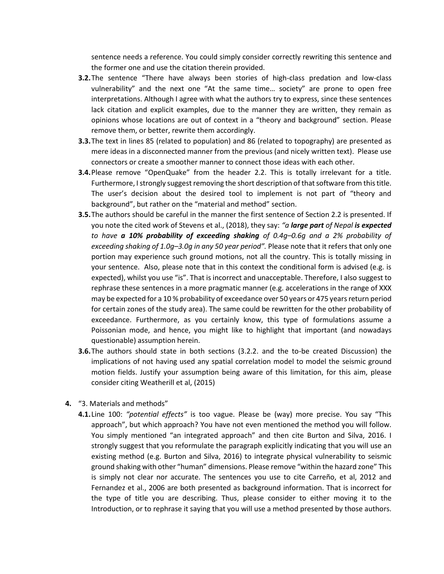sentence needs a reference. You could simply consider correctly rewriting this sentence and the former one and use the citation therein provided.

- **3.2.**The sentence "There have always been stories of high-class predation and low-class vulnerability" and the next one "At the same time… society" are prone to open free interpretations. Although I agree with what the authors try to express, since these sentences lack citation and explicit examples, due to the manner they are written, they remain as opinions whose locations are out of context in a "theory and background" section. Please remove them, or better, rewrite them accordingly.
- **3.3.**The text in lines 85 (related to population) and 86 (related to topography) are presented as mere ideas in a disconnected manner from the previous (and nicely written text). Please use connectors or create a smoother manner to connect those ideas with each other.
- **3.4.**Please remove "OpenQuake" from the header 2.2. This is totally irrelevant for a title. Furthermore, I strongly suggest removing the short description of that software from this title. The user's decision about the desired tool to implement is not part of "theory and background", but rather on the "material and method" section.
- **3.5.**The authors should be careful in the manner the first sentence of Section 2.2 is presented. If you note the cited work of Stevens et al., (2018), they say: *"a large part of Nepal is expected to have a 10% probability of exceeding shaking of 0.4g–0.6g and a 2% probability of exceeding shaking of 1.0g–3.0g in any 50 year period".* Please note that it refers that only one portion may experience such ground motions, not all the country. This is totally missing in your sentence. Also, please note that in this context the conditional form is advised (e.g. is expected), whilst you use "is". That is incorrect and unacceptable. Therefore, I also suggest to rephrase these sentences in a more pragmatic manner (e.g. accelerations in the range of XXX may be expected for a 10 % probability of exceedance over 50 years or 475 years return period for certain zones of the study area). The same could be rewritten for the other probability of exceedance. Furthermore, as you certainly know, this type of formulations assume a Poissonian mode, and hence, you might like to highlight that important (and nowadays questionable) assumption herein.
- **3.6.**The authors should state in both sections (3.2.2. and the to-be created Discussion) the implications of not having used any spatial correlation model to model the seismic ground motion fields. Justify your assumption being aware of this limitation, for this aim, please consider citing Weatherill et al, (2015)
- **4.** "3. Materials and methods"
	- **4.1.**Line 100: *"potential effects"* is too vague. Please be (way) more precise. You say "This approach", but which approach? You have not even mentioned the method you will follow. You simply mentioned "an integrated approach" and then cite Burton and Silva, 2016. I strongly suggest that you reformulate the paragraph explicitly indicating that you will use an existing method (e.g. Burton and Silva, 2016) to integrate physical vulnerability to seismic ground shaking with other "human" dimensions. Please remove "within the hazard zone" This is simply not clear nor accurate. The sentences you use to cite Carreño, et al, 2012 and Fernandez et al., 2006 are both presented as background information. That is incorrect for the type of title you are describing. Thus, please consider to either moving it to the Introduction, or to rephrase it saying that you will use a method presented by those authors.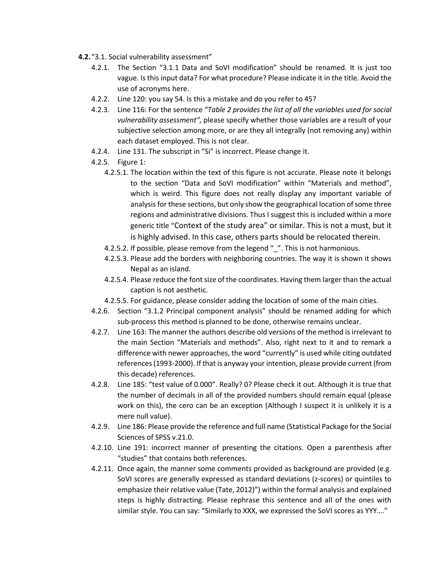- **4.2.**"3.1. Social vulnerability assessment"
	- 4.2.1. The Section "3.1.1 Data and SoVI modification" should be renamed. It is just too vague. Is this input data? For what procedure? Please indicate it in the title. Avoid the use of acronyms here.
	- 4.2.2. Line 120: you say 54. Is this a mistake and do you refer to 45?
	- 4.2.3. Line 116: For the sentence *"Table 2 provides the list of all the variables used for social vulnerability assessment",* please specify whether those variables are a result of your subjective selection among more, or are they all integrally (not removing any) within each dataset employed. This is not clear.
	- 4.2.4. Line 131. The subscript in "Si" is incorrect. Please change it.
	- 4.2.5. Figure 1:
		- 4.2.5.1. The location within the text of this figure is not accurate. Please note it belongs to the section "Data and SoVI modification" within "Materials and method", which is weird. This figure does not really display any important variable of analysis for these sections, but only show the geographical location of some three regions and administrative divisions. Thus I suggest this is included within a more generic title "Context of the study area" or similar. This is not a must, but it is highly advised. In this case, others parts should be relocated therein.
		- 4.2.5.2. If possible, please remove from the legend " ". This is not harmonious.
		- 4.2.5.3. Please add the borders with neighboring countries. The way it is shown it shows Nepal as an island.
		- 4.2.5.4. Please reduce the font size of the coordinates. Having them larger than the actual caption is not aesthetic.
		- 4.2.5.5. For guidance, please consider adding the location of some of the main cities.
	- 4.2.6. Section "3.1.2 Principal component analysis" should be renamed adding for which sub-process this method is planned to be done, otherwise remains unclear.
	- 4.2.7. Line 163: The manner the authors describe old versions of the method is irrelevant to the main Section "Materials and methods". Also, right next to it and to remark a difference with newer approaches, the word "currently" is used while citing outdated references (1993-2000). If that is anyway your intention, please provide current (from this decade) references.
	- 4.2.8. Line 185: "test value of 0.000". Really? 0? Please check it out. Although it is true that the number of decimals in all of the provided numbers should remain equal (please work on this), the cero can be an exception (Although I suspect it is unlikely it is a mere null value).
	- 4.2.9. Line 186: Please provide the reference and full name (Statistical Package for the Social Sciences of SPSS v.21.0.
	- 4.2.10. Line 191: incorrect manner of presenting the citations. Open a parenthesis after "studies" that contains both references.
	- 4.2.11. Once again, the manner some comments provided as background are provided (e.g. SoVI scores are generally expressed as standard deviations (z-scores) or quintiles to emphasize their relative value (Tate, 2012)") within the formal analysis and explained steps is highly distracting. Please rephrase this sentence and all of the ones with similar style. You can say: "Similarly to XXX, we expressed the SoVI scores as YYY…."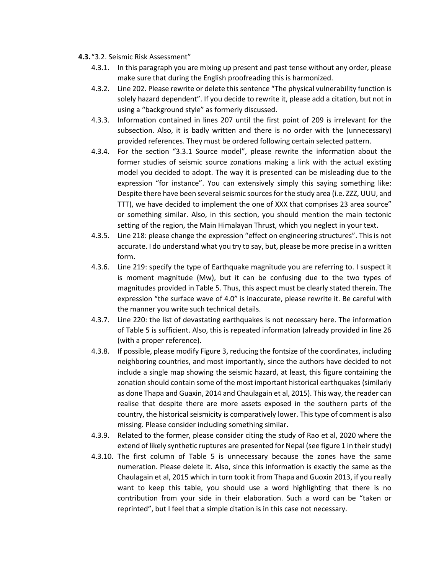- **4.3.**"3.2. Seismic Risk Assessment"
	- 4.3.1. In this paragraph you are mixing up present and past tense without any order, please make sure that during the English proofreading this is harmonized.
	- 4.3.2. Line 202. Please rewrite or delete this sentence "The physical vulnerability function is solely hazard dependent". If you decide to rewrite it, please add a citation, but not in using a "background style" as formerly discussed.
	- 4.3.3. Information contained in lines 207 until the first point of 209 is irrelevant for the subsection. Also, it is badly written and there is no order with the (unnecessary) provided references. They must be ordered following certain selected pattern.
	- 4.3.4. For the section "3.3.1 Source model", please rewrite the information about the former studies of seismic source zonations making a link with the actual existing model you decided to adopt. The way it is presented can be misleading due to the expression "for instance". You can extensively simply this saying something like: Despite there have been several seismic sources for the study area (i.e. ZZZ, UUU, and TTT), we have decided to implement the one of XXX that comprises 23 area source" or something similar. Also, in this section, you should mention the main tectonic setting of the region, the Main Himalayan Thrust, which you neglect in your text.
	- 4.3.5. Line 218: please change the expression "effect on engineering structures". This is not accurate. I do understand what you try to say, but, please be more precise in a written form.
	- 4.3.6. Line 219: specify the type of Earthquake magnitude you are referring to. I suspect it is moment magnitude (Mw), but it can be confusing due to the two types of magnitudes provided in Table 5. Thus, this aspect must be clearly stated therein. The expression "the surface wave of 4.0" is inaccurate, please rewrite it. Be careful with the manner you write such technical details.
	- 4.3.7. Line 220: the list of devastating earthquakes is not necessary here. The information of Table 5 is sufficient. Also, this is repeated information (already provided in line 26 (with a proper reference).
	- 4.3.8. If possible, please modify Figure 3, reducing the fontsize of the coordinates, including neighboring countries, and most importantly, since the authors have decided to not include a single map showing the seismic hazard, at least, this figure containing the zonation should contain some of the most important historical earthquakes (similarly as done Thapa and Guaxin, 2014 and Chaulagain et al, 2015). This way, the reader can realise that despite there are more assets exposed in the southern parts of the country, the historical seismicity is comparatively lower. This type of comment is also missing. Please consider including something similar.
	- 4.3.9. Related to the former, please consider citing the study of Rao et al, 2020 where the extend of likely synthetic ruptures are presented for Nepal (see figure 1 in their study)
	- 4.3.10. The first column of Table 5 is unnecessary because the zones have the same numeration. Please delete it. Also, since this information is exactly the same as the Chaulagain et al, 2015 which in turn took it from Thapa and Guoxin 2013, if you really want to keep this table, you should use a word highlighting that there is no contribution from your side in their elaboration. Such a word can be "taken or reprinted", but I feel that a simple citation is in this case not necessary.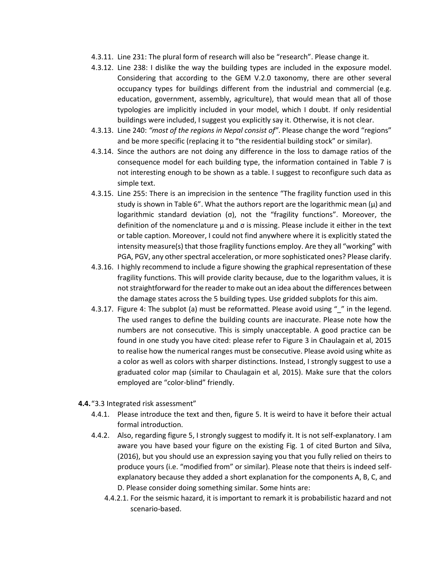- 4.3.11. Line 231: The plural form of research will also be "research". Please change it.
- 4.3.12. Line 238: I dislike the way the building types are included in the exposure model. Considering that according to the GEM V.2.0 taxonomy, there are other several occupancy types for buildings different from the industrial and commercial (e.g. education, government, assembly, agriculture), that would mean that all of those typologies are implicitly included in your model, which I doubt. If only residential buildings were included, I suggest you explicitly say it. Otherwise, it is not clear.
- 4.3.13. Line 240: *"most of the regions in Nepal consist of"*. Please change the word "regions" and be more specific (replacing it to "the residential building stock" or similar).
- 4.3.14. Since the authors are not doing any difference in the loss to damage ratios of the consequence model for each building type, the information contained in Table 7 is not interesting enough to be shown as a table. I suggest to reconfigure such data as simple text.
- 4.3.15. Line 255: There is an imprecision in the sentence "The fragility function used in this study is shown in Table 6". What the authors report are the logarithmic mean  $(\mu)$  and logarithmic standard deviation (σ), not the "fragility functions". Moreover, the definition of the nomenclature  $\mu$  and  $\sigma$  is missing. Please include it either in the text or table caption. Moreover, I could not find anywhere where it is explicitly stated the intensity measure(s) that those fragility functions employ. Are they all "working" with PGA, PGV, any other spectral acceleration, or more sophisticated ones? Please clarify.
- 4.3.16. I highly recommend to include a figure showing the graphical representation of these fragility functions. This will provide clarity because, due to the logarithm values, it is not straightforward for the reader to make out an idea about the differences between the damage states across the 5 building types. Use gridded subplots for this aim.
- 4.3.17. Figure 4: The subplot (a) must be reformatted. Please avoid using " " in the legend. The used ranges to define the building counts are inaccurate. Please note how the numbers are not consecutive. This is simply unacceptable. A good practice can be found in one study you have cited: please refer to Figure 3 in Chaulagain et al, 2015 to realise how the numerical ranges must be consecutive. Please avoid using white as a color as well as colors with sharper distinctions. Instead, I strongly suggest to use a graduated color map (similar to Chaulagain et al, 2015). Make sure that the colors employed are "color-blind" friendly.
- **4.4.**"3.3 Integrated risk assessment"
	- 4.4.1. Please introduce the text and then, figure 5. It is weird to have it before their actual formal introduction.
	- 4.4.2. Also, regarding figure 5, I strongly suggest to modify it. It is not self-explanatory. I am aware you have based your figure on the existing Fig. 1 of cited Burton and Silva, (2016), but you should use an expression saying you that you fully relied on theirs to produce yours (i.e. "modified from" or similar). Please note that theirs is indeed selfexplanatory because they added a short explanation for the components A, B, C, and D. Please consider doing something similar. Some hints are:
		- 4.4.2.1. For the seismic hazard, it is important to remark it is probabilistic hazard and not scenario-based.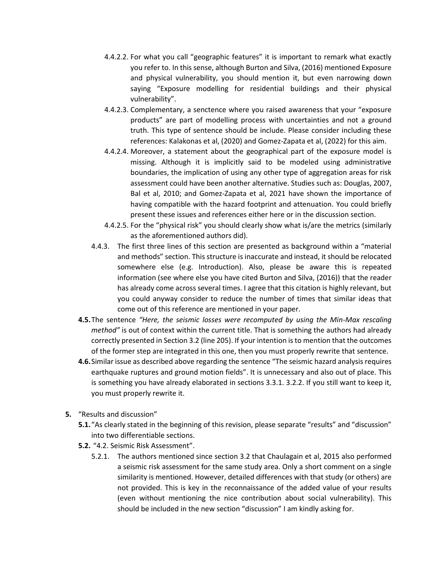- 4.4.2.2. For what you call "geographic features" it is important to remark what exactly you refer to. In this sense, although Burton and Silva, (2016) mentioned Exposure and physical vulnerability, you should mention it, but even narrowing down saying "Exposure modelling for residential buildings and their physical vulnerability".
- 4.4.2.3. Complementary, a senctence where you raised awareness that your "exposure products" are part of modelling process with uncertainties and not a ground truth. This type of sentence should be include. Please consider including these references: Kalakonas et al, (2020) and Gomez-Zapata et al, (2022) for this aim.
- 4.4.2.4. Moreover, a statement about the geographical part of the exposure model is missing. Although it is implicitly said to be modeled using administrative boundaries, the implication of using any other type of aggregation areas for risk assessment could have been another alternative. Studies such as: Douglas, 2007, Bal et al, 2010; and Gomez-Zapata et al, 2021 have shown the importance of having compatible with the hazard footprint and attenuation. You could briefly present these issues and references either here or in the discussion section.
- 4.4.2.5. For the "physical risk" you should clearly show what is/are the metrics (similarly as the aforementioned authors did).
- 4.4.3. The first three lines of this section are presented as background within a "material and methods" section. This structure is inaccurate and instead, it should be relocated somewhere else (e.g. Introduction). Also, please be aware this is repeated information (see where else you have cited Burton and Silva, (2016)) that the reader has already come across several times. I agree that this citation is highly relevant, but you could anyway consider to reduce the number of times that similar ideas that come out of this reference are mentioned in your paper.
- **4.5.**The sentence *"Here, the seismic losses were recomputed by using the Min-Max rescaling method"* is out of context within the current title. That is something the authors had already correctly presented in Section 3.2 (line 205). If your intention is to mention that the outcomes of the former step are integrated in this one, then you must properly rewrite that sentence.
- **4.6.**Similar issue as described above regarding the sentence "The seismic hazard analysis requires earthquake ruptures and ground motion fields". It is unnecessary and also out of place. This is something you have already elaborated in sections 3.3.1. 3.2.2. If you still want to keep it, you must properly rewrite it.
- **5.** "Results and discussion"
	- **5.1.**"As clearly stated in the beginning of this revision, please separate "results" and "discussion" into two differentiable sections.
	- **5.2.** "4.2. Seismic Risk Assessment".
		- 5.2.1. The authors mentioned since section 3.2 that Chaulagain et al, 2015 also performed a seismic risk assessment for the same study area. Only a short comment on a single similarity is mentioned. However, detailed differences with that study (or others) are not provided. This is key in the reconnaissance of the added value of your results (even without mentioning the nice contribution about social vulnerability). This should be included in the new section "discussion" I am kindly asking for.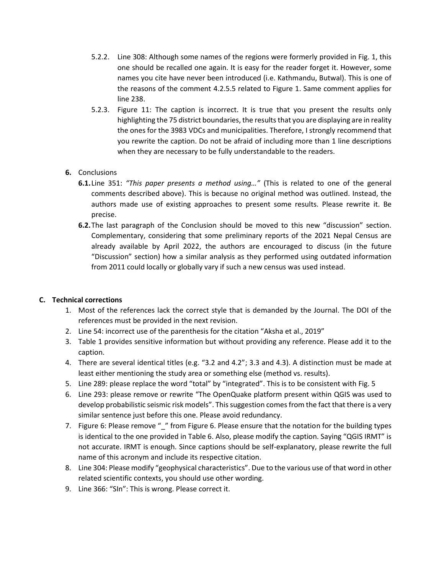- 5.2.2. Line 308: Although some names of the regions were formerly provided in Fig. 1, this one should be recalled one again. It is easy for the reader forget it. However, some names you cite have never been introduced (i.e. Kathmandu, Butwal). This is one of the reasons of the comment 4.2.5.5 related to Figure 1. Same comment applies for line 238.
- 5.2.3. Figure 11: The caption is incorrect. It is true that you present the results only highlighting the 75 district boundaries, the results that you are displaying are in reality the ones for the 3983 VDCs and municipalities. Therefore, I strongly recommend that you rewrite the caption. Do not be afraid of including more than 1 line descriptions when they are necessary to be fully understandable to the readers.

# **6.** Conclusions

- **6.1.**Line 351: *"This paper presents a method using…"* (This is related to one of the general comments described above). This is because no original method was outlined. Instead, the authors made use of existing approaches to present some results. Please rewrite it. Be precise.
- **6.2.**The last paragraph of the Conclusion should be moved to this new "discussion" section. Complementary, considering that some preliminary reports of the 2021 Nepal Census are already available by April 2022, the authors are encouraged to discuss (in the future "Discussion" section) how a similar analysis as they performed using outdated information from 2011 could locally or globally vary if such a new census was used instead.

#### **C. Technical corrections**

- 1. Most of the references lack the correct style that is demanded by the Journal. The DOI of the references must be provided in the next revision.
- 2. Line 54: incorrect use of the parenthesis for the citation "Aksha et al., 2019"
- 3. Table 1 provides sensitive information but without providing any reference. Please add it to the caption.
- 4. There are several identical titles (e.g. "3.2 and 4.2"; 3.3 and 4.3). A distinction must be made at least either mentioning the study area or something else (method vs. results).
- 5. Line 289: please replace the word "total" by "integrated". This is to be consistent with Fig. 5
- 6. Line 293: please remove or rewrite "The OpenQuake platform present within QGIS was used to develop probabilistic seismic risk models". This suggestion comes from the fact that there is a very similar sentence just before this one. Please avoid redundancy.
- 7. Figure 6: Please remove "\_" from Figure 6. Please ensure that the notation for the building types is identical to the one provided in Table 6. Also, please modify the caption. Saying "QGIS IRMT" is not accurate. IRMT is enough. Since captions should be self-explanatory, please rewrite the full name of this acronym and include its respective citation.
- 8. Line 304: Please modify "geophysical characteristics". Due to the various use of that word in other related scientific contexts, you should use other wording.
- 9. Line 366: "SIn": This is wrong. Please correct it.